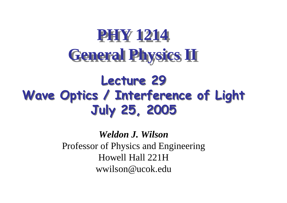# **PHY 1214General Physics II**

#### Lecture 29 Wave Optics / Interference of LightJuly 25, 2005

*Weldon J. Wilson* Professor of Physics and EngineeringHowell Hall 221Hwwilson@ucok.edu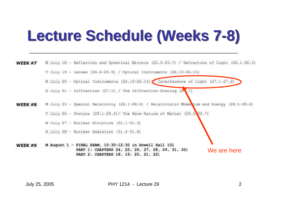## **Lecture Schedule (Weeks 7-8)**

M July 18 - Reflection and Spherical Mirrors (25.4-25.7) / Refraction of Light (26.1-26.5) WEEK #7 T July 19 - Lenses (26.6-26.9) / Optical Instruments (26.10-26.15) W July 20 - Optical Instruments (26.10-26.15) / Interference of Light (27.1-27.2) R July 21 - Diffraction (27.5) / The Diffraction Grating (2, 7) WEEK #8 M July 25 - Special Relativity (28.1-28.4) / Relativistic Mome tum and Energy (28.5-28.6) T July 26 - Photons  $(29.1-29.4)$  / The Wave Nature of Matter  $(29.5\,29.7)$ W July 27 - Nuclear Structure (31.1-31.3) R July 28 - Nuclear Radiation (31.4-31.8) WEEK #9 M August 1 - FINAL EXAM, 10:30-12:30 in Howell Hall 101 PART 1: CHAPTERS 24, 25, 26, 27, 28, 29, 31, 32) We are herePART 2: CHAPTERS 18, 19, 20, 21, 22)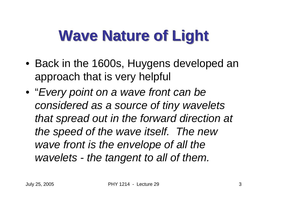# **Wave Nature of Light**

- Back in the 1600s, Huygens developed an approach that is very helpful
- "Every point on a wave front can be considered as a source of tiny wavelets that spread out in the forward direction at the speed of the wave itself. The new wave front is the envelope of all the wavelets - the tangent to all of them.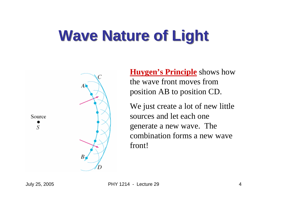# **Wave Nature of Light**



**Huygen's Principle** shows how the wave front moves from position AB to position CD.

We just create a lot of new little sources and let each one generate a new wave. The combination forms a new wave front!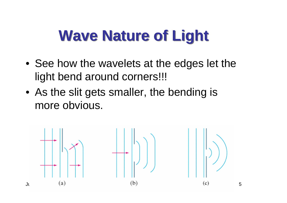## **Wave Nature of Light**

- See how the wavelets at the edges let the light bend around corners!!!
- As the slit gets smaller, the bending is more obvious.

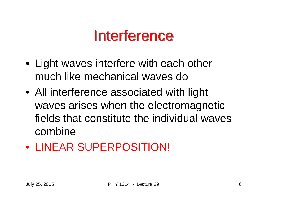#### **Interference**

- Light waves interfere with each other much like mechanical waves do
- All interference associated with light waves arises when the electromagnetic fields that constitute the individual waves combine
- LINEAR SUPERPOSITION!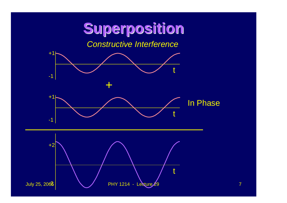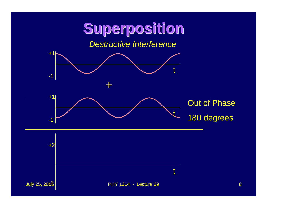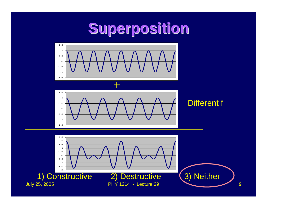### **Superposition**





#### Different f

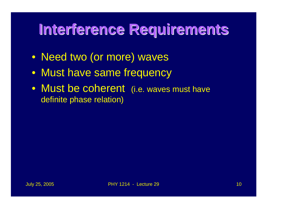### **Interference Requirements**

- Need two (or more) waves
- Must have same frequency
- Must be coherent (i.e. waves must have definite phase relation)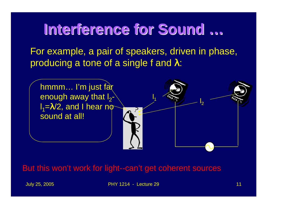#### **Interference for Sound …**

 For example, a pair of speakers, driven in phase, producing a tone of a single f and  $λ$ :



But this won't work for light--can't get coherent sources

July 25, 2005 PHY 1214 - Lecture 29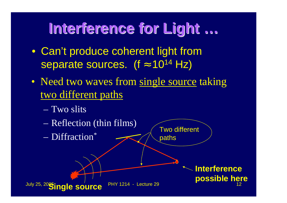### **Interference for Light …**

- Can't produce coherent light from separate sources. (f ≈ $\approx$  10<sup>14</sup> Hz)
- Need two waves from single source taking two different paths
	- Two slits

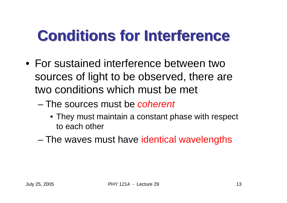## **Conditions for Interference**

- For sustained interference between two sources of light to be observed, there are two conditions which must be met
	- –The sources must be coherent
		- They must maintain a constant phase with respect to each other
	- –The waves must have identical wavelengths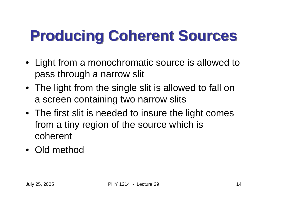# **Producing Coherent Sources**

- Light from a monochromatic source is allowed to pass through a narrow slit
- The light from the single slit is allowed to fall on a screen containing two narrow slits
- The first slit is needed to insure the light comesfrom a tiny region of the source which is coherent
- Old method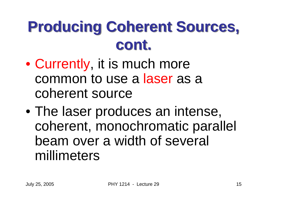# **Producing Coherent Sources, cont.**

- $\bullet$  Currently, it is much more common to use a laser as a coherent source
- $\bullet$  The laser produces an intense, coherent, monochromatic parallel beam over a width of several millimeters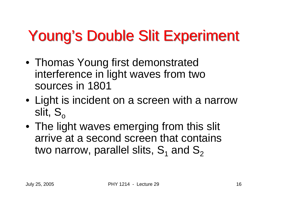# Young's Double Slit Experiment

- Thomas Young first demonstrated interference in light waves from two sources in 1801
- Light is incident on a screen with a narrow slit,  $\mathsf{S}_{\mathsf{o}}$
- • The light waves emerging from this slit arrive at a second screen that contains two narrow, parallel slits,  $\mathbf{S}_1$  $_1$  and  ${\bf S}$ 2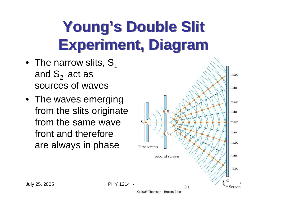# **Young's Double Slit Experiment, Diagram**

- $\bullet~$  The narrow slits,  $\mathbf{S}_1$ and  $S_2$  act as sources of waves
- The waves emerging from the slits originate from the same wave front and therefore are always in phase

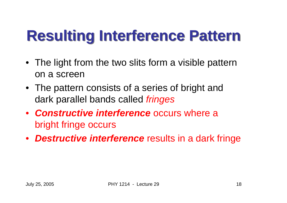# **Resulting Interference Pattern**

- The light from the two slits form a visible pattern on a screen
- The pattern consists of a series of bright and dark parallel bands called fringes
- **Constructive interference** occurs where a bright fringe occurs
- **Destructive interference** results in a dark fringe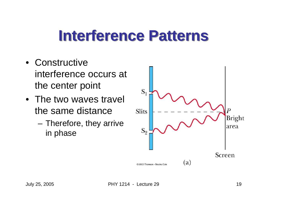## **Interference Patterns**

- Constructive interference occurs at the center point
- The two waves travel the same distance
	- and the state of the Therefore, they arrive in phase

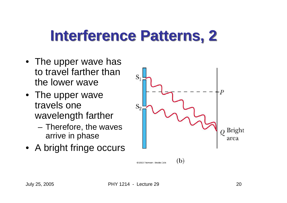## **Interference Patterns, 2**

- The upper wave has to travel farther than the lower wave
- The upper wave travels one wavelength farther
	- – Therefore, the waves arrive in phase
- A bright fringe occurs

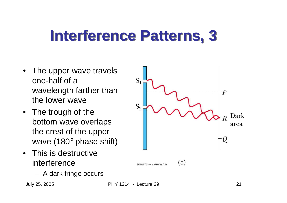## **Interference Patterns, 3**

- • The upper wave travels one-half of a wavelength farther than the lower wave
- The trough of the bottom wave overlaps the crest of the upper wave (180° phase shift)
- This is destructive interference
	- –A dark fringe occurs

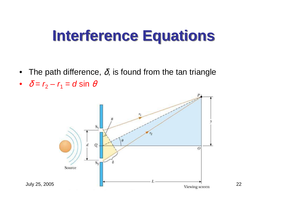- $\bullet~$  The path difference,  $\delta$ , is found from the tan triangle
- $\delta = r_2 r_1 = d \sin \theta$

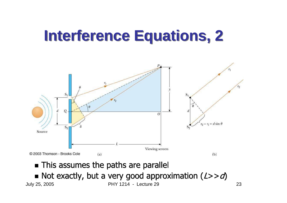

• This assumes the paths are parallel

July 25, 2005 PHY 1214 - Lecture 29 $\blacksquare$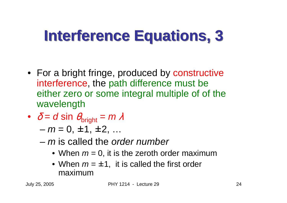- For a bright fringe, produced by constructive interference, the path difference must be either zero or some integral multiple of of the wavelength
- $\delta$  =  $d$  sin  $\epsilon$ d sin  $\theta_{\text{bright}} = m$ 
	- $m = 0, \pm 1, \pm 2, ...$
	- $-$  m is called the order number
		- When  $m = 0$ , it is the zeroth order maximum
		- When  $m = \pm 1$ , it is called the first order maximum maximum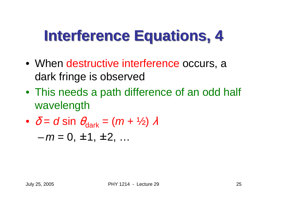- When destructive interference occurs, a dark fringe is observed
- This needs a path difference of an odd half wavelength

$$
\bullet \quad \delta = d \sin \theta_{dark} = (m + \frac{1}{2}) \lambda
$$

 $-m = 0, \pm 1, \pm 2, ...$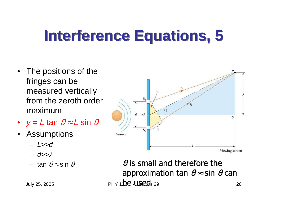- The positions of the fringes can be measured vertically from the zeroth order maximum
- $y = L \tan \theta \approx L \sin \theta$
- •**Assumptions** 
	- –L>>d
	- d>>
	- $-$  tan  $\theta$ ≈ sin



 $\theta$  is small and therefore the approximation tan  $\theta \approx \sin \theta$  can July 25, 2005  $PHY 11.1 \cdot 10.1 \cdot 10.1 \cdot 10.1 \cdot 10.1 \cdot 10.1 \cdot 10.1 \cdot 10.1 \cdot 10.1 \cdot 10.1 \cdot 10.1 \cdot 10.1 \cdot 10.1 \cdot 10.1 \cdot 10.1 \cdot 10.1 \cdot 10.1 \cdot 10.1 \cdot 10.1 \cdot 10.1 \cdot 10.1 \cdot 10.1 \cdot 10.1 \cdot 10.1 \cdot 10.1 \cdot 10.1 \cdot 10.1 \cdot 10.1 \cdot 10.1 \cdot$ <sup>26</sup>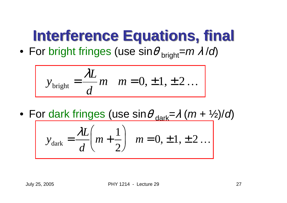# **Interference Equations, final**

 $\bullet\,$  For bright fringes (use sin $\theta_{\rm bright}$  $=m$ /d)

$$
y_{\text{bright}} = \frac{\lambda L}{d} m \quad m = 0, \pm 1, \pm 2 \ldots
$$

• For dark fringes (use  $\sin\theta_{\rm dark}$ =  $\frac{(m + \frac{1}{2})}{d}$ 

$$
y_{\text{dark}} = \frac{\lambda L}{d} \left( m + \frac{1}{2} \right) \quad m = 0, \pm 1, \pm 2 \dots
$$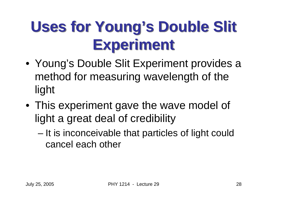# **Uses for Young's Double Slit Experiment**

- Young's Double Slit Experiment provides a method for measuring wavelength of the light
- This experiment gave the wave model of light a great deal of credibility
	- – It is inconceivable that particles of light could cancel each other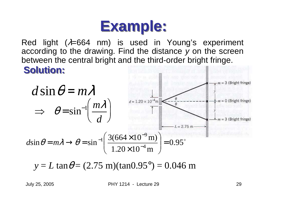

Red light ( $\lambda$ =664 nm) is used in Young's experiment according to the drawing. Find the distance y on the screen between the central bright and the third-order bright fringe.

#### **Solution:**



 $y = L \tan \theta = (2.75 \text{ m})(\tan 0.95^{\circ}) = 0.046 \text{ m}$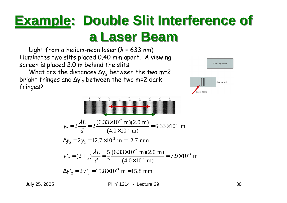#### **Example: Double Slit Interference of a Laser Beam**

 illuminates two slits placed 0.40 mm apart. A viewing Light from a helium-neon laser ( $\lambda$  = 633 nm) screen is placed 2.0 m behind the slits.

What are the distances  $\Delta y_2$  between the two m=2 bright fringes and  $\Delta y_2'$  between the two m=2 dark fringes?

$$
y_2 = 2 \frac{\lambda L}{d} = 2 \frac{(6.33 \times 10^{-7} \text{ m})(2.0 \text{ m})}{(4.0 \times 10^{-4} \text{ m})} = 6.33 \times 10^{-3} \text{ m}
$$
  
\n
$$
\Delta y_2 = 2 y_2 = 12.7 \times 10^{-3} \text{ m} = 12.7 \text{ mm}
$$
  
\n
$$
y'_2 = (2 + \frac{1}{2}) \frac{\lambda L}{d} = \frac{5}{2} \frac{(6.33 \times 10^{-7} \text{ m})(2.0 \text{ m})}{(4.0 \times 10^{-4} \text{ m})} = 7.9 \times 10^{-3} \text{ m}
$$
  
\n
$$
\Delta y'_2 = 2 y'_2 = 15.8 \times 10^{-3} \text{ m} = 15.8 \text{ mm}
$$



Laser beam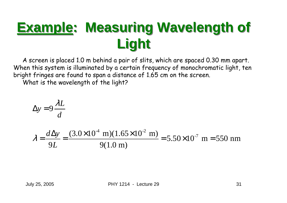## **Example: Measuring Wavelength of Light**

A screen is placed 1.0 m behind a pair of slits, which are spaced 0.30 mm apart. When this system is illuminated by a certain frequency of monochromatic light, ten bright fringes are found to span a distance of 1.65 cm on the screen.

What is the wavelength of the light?

$$
\Delta y = 9 \frac{\lambda L}{d}
$$

$$
\lambda = \frac{d\Delta y}{9L} = \frac{(3.0 \times 10^{-4} \text{ m})(1.65 \times 10^{-2} \text{ m})}{9(1.0 \text{ m})} = 5.50 \times 10^{-7} \text{ m} = 550 \text{ nm}
$$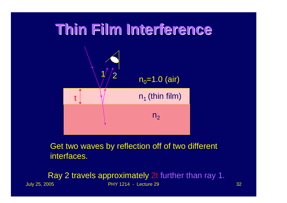

Get two waves by reflection off of two different interfaces.

July 25, 2005 PHY 1214 - Lecture 299 32 Ray 2 travels approximately 2t further than ray 1.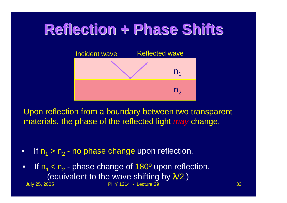#### **Reflection + Phase Shifts**



Upon reflection from a boundary between two transparent materials, the phase of the reflected light *may* change.

•If  $n_1 > n_2$  $_{\rm 2}$  - no phase change upon reflection.

July 25, 2005 PHY 1214 - Lecture 29 <sup>33</sup> •If  $n_1 < n_2$ (equivalent to the wave shifting by  $\lambda\!/2$ .)  $_2$  - phase change of 180 $^{\circ}$  upon reflection.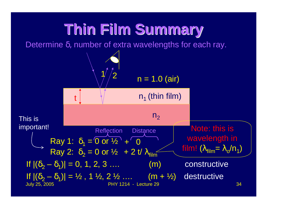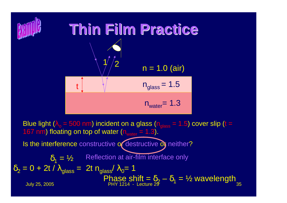

Blue light ( $\lambda_{\rm o}$  = 500 nm) incident on a glass (n<sub>glass</sub> = 1.5) cover slip (t = 167 nm) floating on top of water  $(n_{\text{water}} = 1.3)$ . Is the interference constructive of destructive of neither?

Reflection at air-film interface only

$$
\delta_1 = \frac{1}{2}
$$
 Reflection at air-film interface only  
\n
$$
\delta_2 = 0 + 2t / \lambda_{glass} = 2t n_{glass} / \lambda_0 = 1
$$
\nPhase shift =  $\delta_2 - \delta_1 = \frac{1}{2}$  wavelength  
\nJuly 25, 2005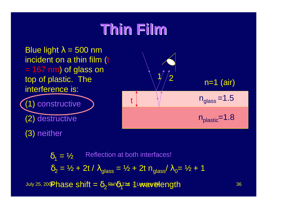#### **Thin Film**

Blue light  $\lambda$  = 500 nm incident on a thin film (t = 167 nm) of glass on top of plastic. The interference is:

(1) constructive

(2) destructive

(3) neither



July 25, 200<mark>Phase shift =  $\delta_2$  PH  $\delta$ 12  $\pm$  1 uvavelength  $\hskip1cm$  36</mark>  $\delta_1 = \frac{1}{2}$  $\delta_2$  $_{2}$  = ½ + 2t /  $\lambda_{\rm glass}$  = ½ + 2t n<sub>glass</sub>/  $\lambda_{0}$ = ½ + 1 δຊ≄ 1⊾<del>wav**e**l</del>ength Reflection at both interfaces!